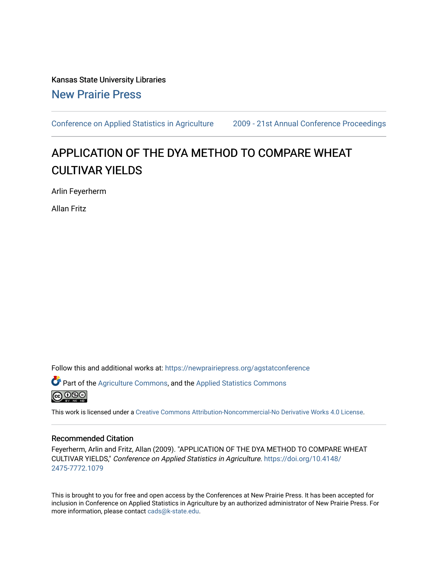Kansas State University Libraries [New Prairie Press](https://newprairiepress.org/) 

[Conference on Applied Statistics in Agriculture](https://newprairiepress.org/agstatconference) [2009 - 21st Annual Conference Proceedings](https://newprairiepress.org/agstatconference/2009) 

# APPLICATION OF THE DYA METHOD TO COMPARE WHEAT CULTIVAR YIELDS

Arlin Feyerherm

Allan Fritz

Follow this and additional works at: [https://newprairiepress.org/agstatconference](https://newprairiepress.org/agstatconference?utm_source=newprairiepress.org%2Fagstatconference%2F2009%2Fproceedings%2F8&utm_medium=PDF&utm_campaign=PDFCoverPages)

Part of the [Agriculture Commons](http://network.bepress.com/hgg/discipline/1076?utm_source=newprairiepress.org%2Fagstatconference%2F2009%2Fproceedings%2F8&utm_medium=PDF&utm_campaign=PDFCoverPages), and the [Applied Statistics Commons](http://network.bepress.com/hgg/discipline/209?utm_source=newprairiepress.org%2Fagstatconference%2F2009%2Fproceedings%2F8&utm_medium=PDF&utm_campaign=PDFCoverPages) 

@000

This work is licensed under a [Creative Commons Attribution-Noncommercial-No Derivative Works 4.0 License.](https://creativecommons.org/licenses/by-nc-nd/4.0/)

#### Recommended Citation

Feyerherm, Arlin and Fritz, Allan (2009). "APPLICATION OF THE DYA METHOD TO COMPARE WHEAT CULTIVAR YIELDS," Conference on Applied Statistics in Agriculture. [https://doi.org/10.4148/](https://doi.org/10.4148/2475-7772.1079) [2475-7772.1079](https://doi.org/10.4148/2475-7772.1079) 

This is brought to you for free and open access by the Conferences at New Prairie Press. It has been accepted for inclusion in Conference on Applied Statistics in Agriculture by an authorized administrator of New Prairie Press. For more information, please contact [cads@k-state.edu](mailto:cads@k-state.edu).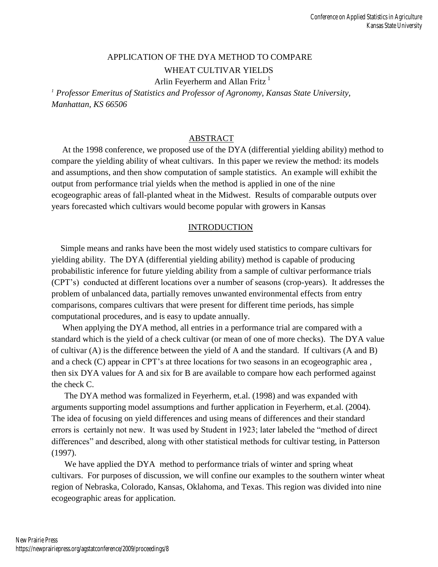## APPLICATION OF THE DYA METHOD TO COMPARE WHEAT CULTIVAR YIELDS

Arlin Feyerherm and Allan Fritz<sup>1</sup>

*<sup>1</sup>Professor Emeritus of Statistics and Professor of Agronomy, Kansas State University, Manhattan, KS 66506* 

## ABSTRACT

 At the 1998 conference, we proposed use of the DYA (differential yielding ability) method to compare the yielding ability of wheat cultivars. In this paper we review the method: its models and assumptions, and then show computation of sample statistics. An example will exhibit the output from performance trial yields when the method is applied in one of the nine ecogeographic areas of fall-planted wheat in the Midwest. Results of comparable outputs over years forecasted which cultivars would become popular with growers in Kansas

### **INTRODUCTION**

 Simple means and ranks have been the most widely used statistics to compare cultivars for yielding ability. The DYA (differential yielding ability) method is capable of producing probabilistic inference for future yielding ability from a sample of cultivar performance trials (CPT"s) conducted at different locations over a number of seasons (crop-years). It addresses the problem of unbalanced data, partially removes unwanted environmental effects from entry comparisons, compares cultivars that were present for different time periods, has simple computational procedures, and is easy to update annually.

 When applying the DYA method, all entries in a performance trial are compared with a standard which is the yield of a check cultivar (or mean of one of more checks). The DYA value of cultivar (A) is the difference between the yield of A and the standard. If cultivars (A and B) and a check (C) appear in CPT"s at three locations for two seasons in an ecogeographic area , then six DYA values for A and six for B are available to compare how each performed against the check C.

 The DYA method was formalized in Feyerherm, et.al. (1998) and was expanded with arguments supporting model assumptions and further application in Feyerherm, et.al. (2004). The idea of focusing on yield differences and using means of differences and their standard errors is certainly not new. It was used by Student in 1923; later labeled the "method of direct differences" and described, along with other statistical methods for cultivar testing, in Patterson (1997).

We have applied the DYA method to performance trials of winter and spring wheat cultivars. For purposes of discussion, we will confine our examples to the southern winter wheat region of Nebraska, Colorado, Kansas, Oklahoma, and Texas. This region was divided into nine ecogeographic areas for application.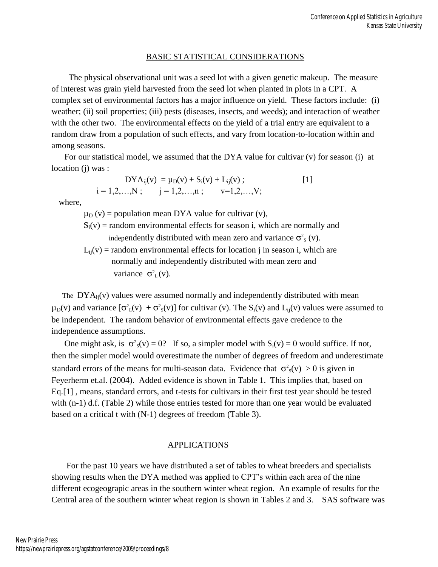#### BASIC STATISTICAL CONSIDERATIONS

 The physical observational unit was a seed lot with a given genetic makeup. The measure of interest was grain yield harvested from the seed lot when planted in plots in a CPT. A complex set of environmental factors has a major influence on yield. These factors include: (i) weather; (ii) soil properties; (iii) pests (diseases, insects, and weeds); and interaction of weather with the other two. The environmental effects on the yield of a trial entry are equivalent to a random draw from a population of such effects, and vary from location-to-location within and among seasons.

 For our statistical model, we assumed that the DYA value for cultivar (v) for season (i) at location (j) was :

$$
DYA_{ij}(v) = \mu_D(v) + S_i(v) + L_{ij}(v) ;
$$
  
i = 1,2,...,N ;  $j = 1,2,...,n ; v=1,2,...,V;$  [1]

where,

 $\mu_D$  (v) = population mean DYA value for cultivar (v),

- $S_i(v)$  = random environmental effects for season i, which are normally and independently distributed with mean zero and variance  $\sigma_s^2$  (v).
- $L_{ii}(v)$  = random environmental effects for location j in season i, which are normally and independently distributed with mean zero and variance  $\sigma_L^2(v)$ .

The  $DYA_{ii}(v)$  values were assumed normally and independently distributed with mean  $\mu_D(v)$  and variance  $[\sigma_L^2(v) + \sigma_S^2(v)]$  for cultivar (v). The S<sub>i</sub>(v) and L<sub>ij</sub>(v) values were assumed to be independent. The random behavior of environmental effects gave credence to the independence assumptions.

One might ask, is  $\sigma^2$ <sub>s</sub>(v) = 0? If so, a simpler model with  $S_i(v) = 0$  would suffice. If not, then the simpler model would overestimate the number of degrees of freedom and underestimate standard errors of the means for multi-season data. Evidence that  $\sigma_s^2(v) > 0$  is given in Feyerherm et.al. (2004). Added evidence is shown in Table 1. This implies that, based on Eq.[1] , means, standard errors, and t-tests for cultivars in their first test year should be tested with (n-1) d.f. (Table 2) while those entries tested for more than one year would be evaluated based on a critical t with (N-1) degrees of freedom (Table 3).

#### APPLICATIONS

 For the past 10 years we have distributed a set of tables to wheat breeders and specialists showing results when the DYA method was applied to CPT"s within each area of the nine different ecogeograpic areas in the southern winter wheat region. An example of results for the Central area of the southern winter wheat region is shown in Tables 2 and 3. SAS software was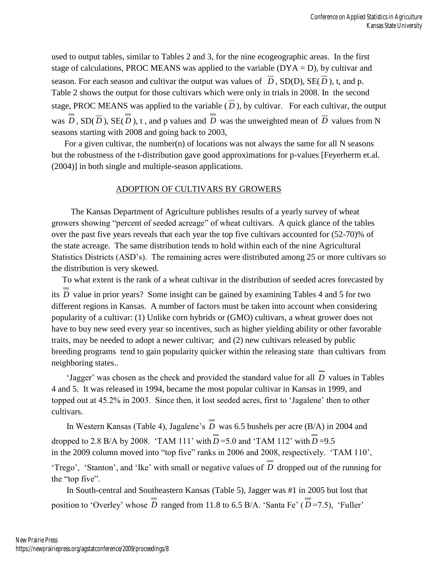used to output tables, similar to Tables 2 and 3, for the nine ecogeographic areas. In the first stage of calculations, PROC MEANS was applied to the variable  $(DYA = D)$ , by cultivar and season. For each season and cultivar the output was values of  $D$ ,  $SD(D)$ ,  $SE(D)$ , t, and p. Table 2 shows the output for those cultivars which were only in trials in 2008. In the second stage, PROC MEANS was applied to the variable  $(D)$ , by cultivar. For each cultivar, the output was  $D$ ,  $SD(D)$ ,  $SE(D)$ , t, and p values and  $D$  was the unweighted mean of  $D$  values from N seasons starting with 2008 and going back to 2003,

For a given cultivar, the number(n) of locations was not always the same for all  $N$  seasons but the robustness of the t-distribution gave good approximations for p-values [Feyerherm et.al. (2004)] in both single and multiple-season applications.

#### ADOPTION OF CULTIVARS BY GROWERS

 The Kansas Department of Agriculture publishes results of a yearly survey of wheat growers showing "percent of seeded acreage" of wheat cultivars. A quick glance of the tables over the past five years reveals that each year the top five cultivars accounted for (52-70)% of the state acreage. The same distribution tends to hold within each of the nine Agricultural Statistics Districts (ASD"s). The remaining acres were distributed among 25 or more cultivars so the distribution is very skewed.

 To what extent is the rank of a wheat cultivar in the distribution of seeded acres forecasted by its *D* value in prior years? Some insight can be gained by examining Tables 4 and 5 for two different regions in Kansas. A number of factors must be taken into account when considering popularity of a cultivar: (1) Unlike corn hybrids or (GMO) cultivars, a wheat grower does not have to buy new seed every year so incentives, such as higher yielding ability or other favorable traits, may be needed to adopt a newer cultivar; and (2) new cultivars released by public breeding programs tend to gain popularity quicker within the releasing state than cultivars from neighboring states..

'Jagger' was chosen as the check and provided the standard value for all *D* values in Tables 4 and 5. It was released in 1994, became the most popular cultivar in Kansas in 1999, and topped out at 45.2% in 2003. Since then, it lost seeded acres, first to "Jagalene" then to other cultivars.

In Western Kansas (Table 4), Jagalene's *D* was 6.5 bushels per acre (B/A) in 2004 and dropped to 2.8 B/A by 2008. 'TAM 111' with  $D = 5.0$  and 'TAM 112' with  $D = 9.5$ in the 2009 column moved into "top five" ranks in 2006 and 2008, respectively. "TAM 110", "Trego", "Stanton", and 'Ike' with small or negative values of D dropped out of the running for the "top five".

 In South-central and Southeastern Kansas (Table 5), Jagger was #1 in 2005 but lost that position to 'Overley' whose D ranged from 11.8 to 6.5 B/A. 'Santa Fe'  $(D=7.5)$ , 'Fuller'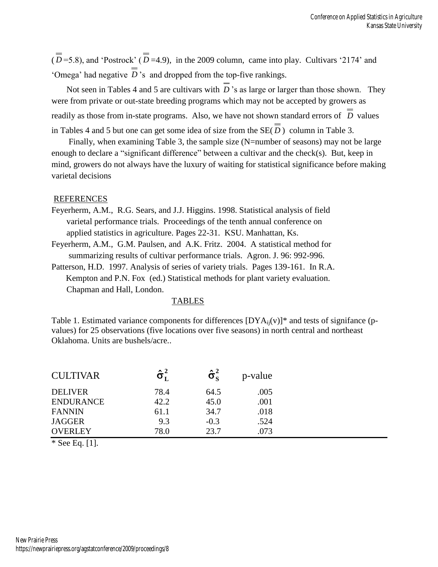$(D=5.8)$ , and 'Postrock'  $(D=4.9)$ , in the 2009 column, came into play. Cultivars '2174' and 'Omega' had negative *D*'s and dropped from the top-five rankings.

Not seen in Tables 4 and 5 are cultivars with D's as large or larger than those shown. They were from private or out-state breeding programs which may not be accepted by growers as readily as those from in-state programs. Also, we have not shown standard errors of D values in Tables 4 and 5 but one can get some idea of size from the  $SE(D)$  column in Table 3.

Finally, when examining Table 3, the sample size (N=number of seasons) may not be large enough to declare a "significant difference" between a cultivar and the check(s). But, keep in mind, growers do not always have the luxury of waiting for statistical significance before making varietal decisions

#### REFERENCES

- Feyerherm, A.M., R.G. Sears, and J.J. Higgins. 1998. Statistical analysis of field varietal performance trials. Proceedings of the tenth annual conference on applied statistics in agriculture. Pages 22-31. KSU. Manhattan, Ks.
- Feyerherm, A.M., G.M. Paulsen, and A.K. Fritz. 2004. A statistical method for summarizing results of cultivar performance trials. Agron. J. 96: 992-996.
- Patterson, H.D. 1997. Analysis of series of variety trials. Pages 139-161. In R.A. Kempton and P.N. Fox (ed.) Statistical methods for plant variety evaluation. Chapman and Hall, London.

#### TABLES

Table 1. Estimated variance components for differences  $[DYA_{ii}(v)]^*$  and tests of signifance (pvalues) for 25 observations (five locations over five seasons) in north central and northeast Oklahoma. Units are bushels/acre..

| <b>CULTIVAR</b>  | $\mathbf{\hat{\sigma}}^{2}_{\mathbf{r}}$ | $\mathbf{\hat{\sigma}^2_{s}}$ | p-value |
|------------------|------------------------------------------|-------------------------------|---------|
| <b>DELIVER</b>   | 78.4                                     | 64.5                          | .005    |
| <b>ENDURANCE</b> | 42.2                                     | 45.0                          | .001    |
| <b>FANNIN</b>    | 61.1                                     | 34.7                          | .018    |
| <b>JAGGER</b>    | 9.3                                      | $-0.3$                        | .524    |
| <b>OVERLEY</b>   | 78.0                                     | 23.7                          | .073    |

\* See Eq. [1].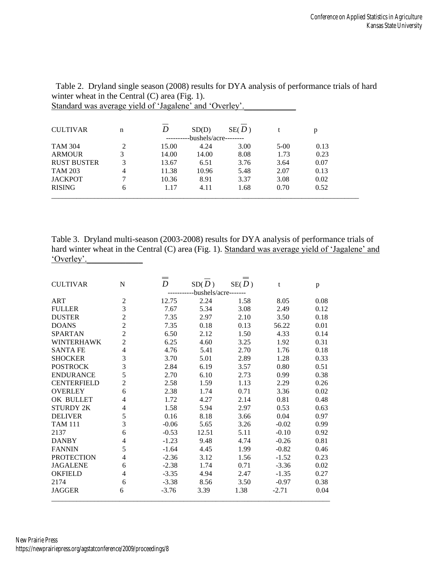| <b>CULTIVAR</b>    | n        |       | SD(D)          | SE(D) |        | p    |  |
|--------------------|----------|-------|----------------|-------|--------|------|--|
|                    |          |       | -bushels/acre- |       |        |      |  |
| <b>TAM 304</b>     | $\gamma$ | 15.00 | 4.24           | 3.00  | $5-00$ | 0.13 |  |
| <b>ARMOUR</b>      | 3        | 14.00 | 14.00          | 8.08  | 1.73   | 0.23 |  |
| <b>RUST BUSTER</b> | 3        | 13.67 | 6.51           | 3.76  | 3.64   | 0.07 |  |
| <b>TAM 203</b>     | 4        | 11.38 | 10.96          | 5.48  | 2.07   | 0.13 |  |
| <b>JACKPOT</b>     |          | 10.36 | 8.91           | 3.37  | 3.08   | 0.02 |  |
| <b>RISING</b>      | 6        | 1.17  | 4.11           | 1.68  | 0.70   | 0.52 |  |
|                    |          |       |                |       |        |      |  |

 Table 2. Dryland single season (2008) results for DYA analysis of performance trials of hard winter wheat in the Central (C) area (Fig. 1). Standard was average yield of 'Jagalene' and 'Overley'.

Table 3. Dryland multi-season (2003-2008) results for DYA analysis of performance trials of hard winter wheat in the Central (C) area (Fig. 1). Standard was average yield of 'Jagalene' and 'Overley'.

| <b>CULTIVAR</b>    | N              | $\!\!\!\!=\!\!\!=$<br>D | SD(D)<br>-bushels/acre- | SE(D) | t       | p    |
|--------------------|----------------|-------------------------|-------------------------|-------|---------|------|
| ART                | 2              | 12.75                   | 2.24                    | 1.58  | 8.05    | 0.08 |
| <b>FULLER</b>      | $\overline{3}$ | 7.67                    | 5.34                    | 3.08  | 2.49    | 0.12 |
| <b>DUSTER</b>      | $\overline{2}$ | 7.35                    | 2.97                    | 2.10  | 3.50    | 0.18 |
| <b>DOANS</b>       | $\overline{2}$ | 7.35                    | 0.18                    | 0.13  | 56.22   | 0.01 |
| <b>SPARTAN</b>     | $\overline{2}$ | 6.50                    | 2.12                    | 1.50  | 4.33    | 0.14 |
| <b>WINTERHAWK</b>  | $\overline{2}$ | 6.25                    | 4.60                    | 3.25  | 1.92    | 0.31 |
| <b>SANTA FE</b>    | 4              | 4.76                    | 5.41                    | 2.70  | 1.76    | 0.18 |
| <b>SHOCKER</b>     | 3              | 3.70                    | 5.01                    | 2.89  | 1.28    | 0.33 |
| <b>POSTROCK</b>    | 3              | 2.84                    | 6.19                    | 3.57  | 0.80    | 0.51 |
| <b>ENDURANCE</b>   | 5              | 2.70                    | 6.10                    | 2.73  | 0.99    | 0.38 |
| <b>CENTERFIELD</b> | $\overline{c}$ | 2.58                    | 1.59                    | 1.13  | 2.29    | 0.26 |
| <b>OVERLEY</b>     | 6              | 2.38                    | 1.74                    | 0.71  | 3.36    | 0.02 |
| OK BULLET          | 4              | 1.72                    | 4.27                    | 2.14  | 0.81    | 0.48 |
| <b>STURDY 2K</b>   | 4              | 1.58                    | 5.94                    | 2.97  | 0.53    | 0.63 |
| <b>DELIVER</b>     | 5              | 0.16                    | 8.18                    | 3.66  | 0.04    | 0.97 |
| <b>TAM 111</b>     | 3              | $-0.06$                 | 5.65                    | 3.26  | $-0.02$ | 0.99 |
| 2137               | 6              | $-0.53$                 | 12.51                   | 5.11  | $-0.10$ | 0.92 |
| <b>DANBY</b>       | 4              | $-1.23$                 | 9.48                    | 4.74  | $-0.26$ | 0.81 |
| <b>FANNIN</b>      | 5              | $-1.64$                 | 4.45                    | 1.99  | $-0.82$ | 0.46 |
| <b>PROTECTION</b>  | 4              | $-2.36$                 | 3.12                    | 1.56  | $-1.52$ | 0.23 |
| <b>JAGALENE</b>    | 6              | $-2.38$                 | 1.74                    | 0.71  | $-3.36$ | 0.02 |
| <b>OKFIELD</b>     | 4              | $-3.35$                 | 4.94                    | 2.47  | $-1.35$ | 0.27 |
| 2174               | 6              | $-3.38$                 | 8.56                    | 3.50  | $-0.97$ | 0.38 |
| <b>JAGGER</b>      | 6              | $-3.76$                 | 3.39                    | 1.38  | $-2.71$ | 0.04 |